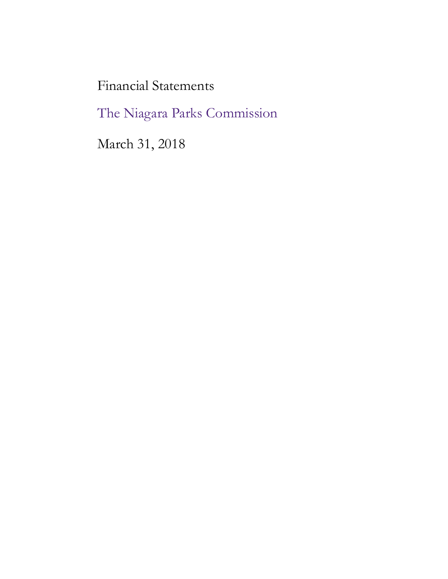Financial Statements

The Niagara Parks Commission

March 31, 2018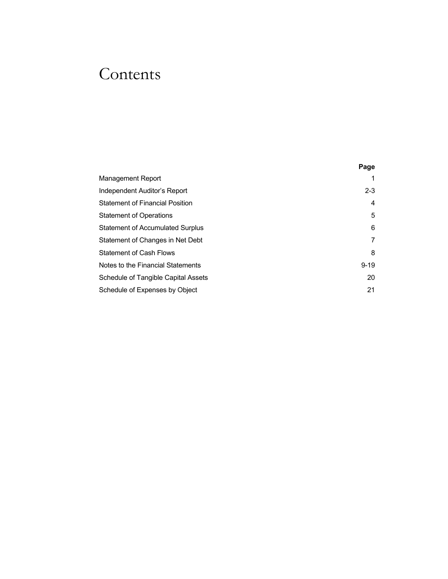# Contents

|                                         | Page     |
|-----------------------------------------|----------|
| <b>Management Report</b>                |          |
| Independent Auditor's Report            | $2 - 3$  |
| <b>Statement of Financial Position</b>  | 4        |
| <b>Statement of Operations</b>          | 5        |
| <b>Statement of Accumulated Surplus</b> | 6        |
| Statement of Changes in Net Debt        | 7        |
| <b>Statement of Cash Flows</b>          | 8        |
| Notes to the Financial Statements       | $9 - 19$ |
| Schedule of Tangible Capital Assets     | 20       |
| Schedule of Expenses by Object          | 21       |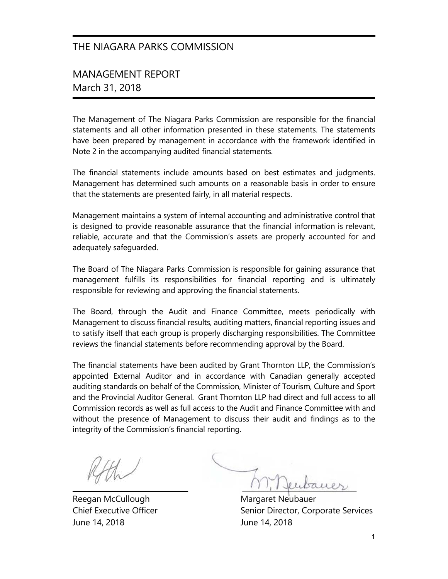### THE NIAGARA PARKS COMMISSION

### MANAGEMENT REPORT March 31, 2018

The Management of The Niagara Parks Commission are responsible for the financial statements and all other information presented in these statements. The statements have been prepared by management in accordance with the framework identified in Note 2 in the accompanying audited financial statements.

The financial statements include amounts based on best estimates and judgments. Management has determined such amounts on a reasonable basis in order to ensure that the statements are presented fairly, in all material respects.

Management maintains a system of internal accounting and administrative control that is designed to provide reasonable assurance that the financial information is relevant, reliable, accurate and that the Commission's assets are properly accounted for and adequately safeguarded.

The Board of The Niagara Parks Commission is responsible for gaining assurance that management fulfills its responsibilities for financial reporting and is ultimately responsible for reviewing and approving the financial statements.

The Board, through the Audit and Finance Committee, meets periodically with Management to discuss financial results, auditing matters, financial reporting issues and to satisfy itself that each group is properly discharging responsibilities. The Committee reviews the financial statements before recommending approval by the Board.

The financial statements have been audited by Grant Thornton LLP, the Commission's appointed External Auditor and in accordance with Canadian generally accepted auditing standards on behalf of the Commission, Minister of Tourism, Culture and Sport and the Provincial Auditor General. Grant Thornton LLP had direct and full access to all Commission records as well as full access to the Audit and Finance Committee with and without the presence of Management to discuss their audit and findings as to the integrity of the Commission's financial reporting.

Reegan McCullough Margaret Neubauer June 14, 2018 June 14, 2018

 $\mu$ taues

Chief Executive Officer Senior Director, Corporate Services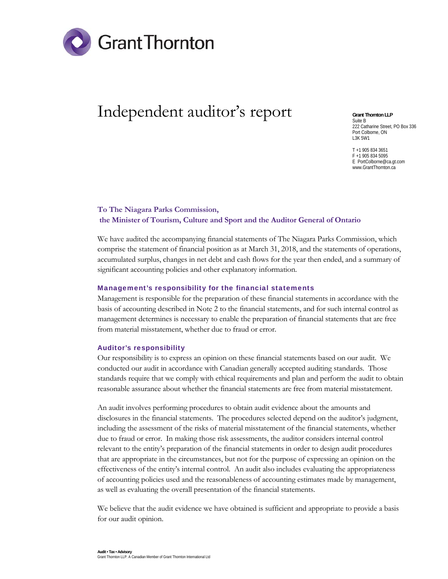

# Independent auditor's report

**Grant Thornton LLP**  Suite B 222 Catharine Street, PO Box 336 Port Colborne, ON L3K 5W1

T +1 905 834 3651 F +1 905 834 5095 E PortColborne@ca.gt.com www.GrantThornton.ca

#### **To The Niagara Parks Commission, the Minister of Tourism, Culture and Sport and the Auditor General of Ontario**

We have audited the accompanying financial statements of The Niagara Parks Commission, which comprise the statement of financial position as at March 31, 2018, and the statements of operations, accumulated surplus, changes in net debt and cash flows for the year then ended, and a summary of significant accounting policies and other explanatory information.

#### Management's responsibility for the financial statements

Management is responsible for the preparation of these financial statements in accordance with the basis of accounting described in Note 2 to the financial statements, and for such internal control as management determines is necessary to enable the preparation of financial statements that are free from material misstatement, whether due to fraud or error.

#### Auditor's responsibility

Our responsibility is to express an opinion on these financial statements based on our audit. We conducted our audit in accordance with Canadian generally accepted auditing standards. Those standards require that we comply with ethical requirements and plan and perform the audit to obtain reasonable assurance about whether the financial statements are free from material misstatement.

An audit involves performing procedures to obtain audit evidence about the amounts and disclosures in the financial statements. The procedures selected depend on the auditor's judgment, including the assessment of the risks of material misstatement of the financial statements, whether due to fraud or error. In making those risk assessments, the auditor considers internal control relevant to the entity's preparation of the financial statements in order to design audit procedures that are appropriate in the circumstances, but not for the purpose of expressing an opinion on the effectiveness of the entity's internal control. An audit also includes evaluating the appropriateness of accounting policies used and the reasonableness of accounting estimates made by management, as well as evaluating the overall presentation of the financial statements.

We believe that the audit evidence we have obtained is sufficient and appropriate to provide a basis for our audit opinion.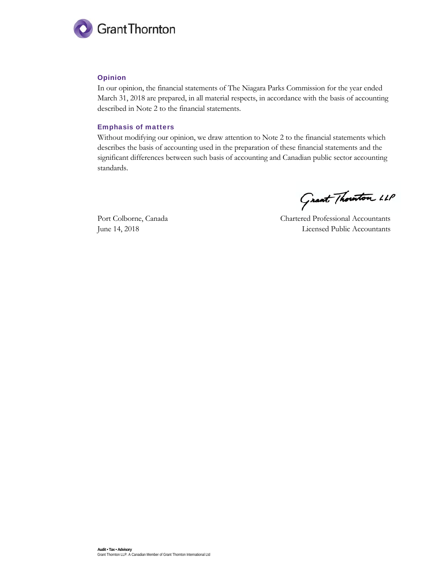

#### Opinion

In our opinion, the financial statements of The Niagara Parks Commission for the year ended March 31, 2018 are prepared, in all material respects, in accordance with the basis of accounting described in Note 2 to the financial statements.

#### Emphasis of matters

Without modifying our opinion, we draw attention to Note 2 to the financial statements which describes the basis of accounting used in the preparation of these financial statements and the significant differences between such basis of accounting and Canadian public sector accounting standards.

Grant Thouston LLP

Port Colborne, Canada Chartered Professional Accountants June 14, 2018 Licensed Public Accountants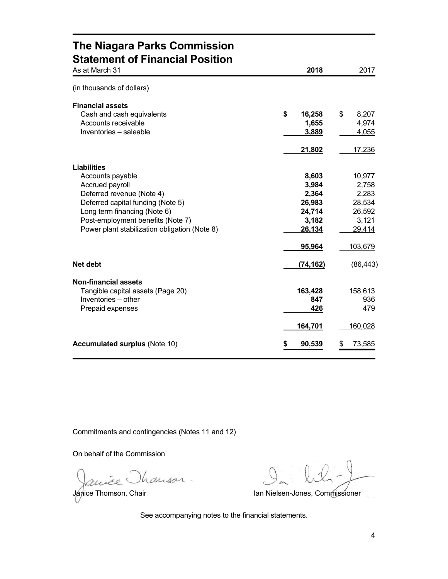### **The Niagara Parks Commission Statement of Financial Position**

| Statement of Financial Fosition<br>As at March 31 | 2018         | 2017         |
|---------------------------------------------------|--------------|--------------|
| (in thousands of dollars)                         |              |              |
| <b>Financial assets</b>                           |              |              |
| Cash and cash equivalents                         | \$<br>16,258 | \$<br>8,207  |
| Accounts receivable                               | 1,655        | 4,974        |
| Inventories - saleable                            | 3,889        | 4,055        |
|                                                   | 21,802       | 17,236       |
| <b>Liabilities</b>                                |              |              |
| Accounts payable                                  | 8,603        | 10,977       |
| Accrued payroll                                   | 3,984        | 2,758        |
| Deferred revenue (Note 4)                         | 2,364        | 2,283        |
| Deferred capital funding (Note 5)                 | 26,983       | 28,534       |
| Long term financing (Note 6)                      | 24,714       | 26,592       |
| Post-employment benefits (Note 7)                 | 3,182        | 3,121        |
| Power plant stabilization obligation (Note 8)     | 26,134       | 29,414       |
|                                                   | 95,964       | 103,679      |
| Net debt                                          | (74, 162)    | (86, 443)    |
| <b>Non-financial assets</b>                       |              |              |
| Tangible capital assets (Page 20)                 | 163,428      | 158,613      |
| Inventories - other                               | 847          | 936          |
| Prepaid expenses                                  | 426          | 479          |
|                                                   | 164,701      | 160,028      |
| <b>Accumulated surplus (Note 10)</b>              | 90,539<br>5  | \$<br>73,585 |

Commitments and contingencies (Notes 11 and 12)

On behalf of the Commission

 $\overline{a}$ 

Janice Thomson, Chair Ian Nielsen-Jones, Commissioner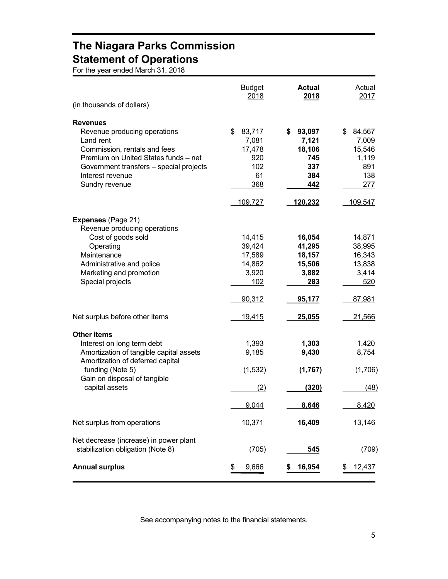### **The Niagara Parks Commission Statement of Operations**

For the year ended March 31, 2018

| (in thousands of dollars)                                                                                                                                                                                                 | <b>Budget</b><br>2018                                                           | <b>Actual</b><br>2018                                                           | Actual<br>2017                                                           |
|---------------------------------------------------------------------------------------------------------------------------------------------------------------------------------------------------------------------------|---------------------------------------------------------------------------------|---------------------------------------------------------------------------------|--------------------------------------------------------------------------|
| <b>Revenues</b><br>Revenue producing operations<br>Land rent<br>Commission, rentals and fees<br>Premium on United States funds - net<br>Government transfers - special projects<br>Interest revenue<br>Sundry revenue     | \$<br>83,717<br>7,081<br>17,478<br>920<br>102<br>61<br>368<br>109,727           | 93,097<br>\$<br>7,121<br>18,106<br>745<br>337<br>384<br>442<br>120,232          | \$<br>84,567<br>7,009<br>15,546<br>1,119<br>891<br>138<br>277<br>109,547 |
| <b>Expenses (Page 21)</b><br>Revenue producing operations<br>Cost of goods sold<br>Operating<br>Maintenance<br>Administrative and police<br>Marketing and promotion<br>Special projects<br>Net surplus before other items | 14,415<br>39,424<br>17,589<br>14,862<br>3,920<br>102<br>90,312<br><u>19,415</u> | 16,054<br>41,295<br>18,157<br>15,506<br>3,882<br>283<br><u>95,177</u><br>25,055 | 14,871<br>38,995<br>16,343<br>13,838<br>3,414<br>520<br>87,981<br>21,566 |
| <b>Other items</b><br>Interest on long term debt<br>Amortization of tangible capital assets<br>Amortization of deferred capital<br>funding (Note 5)<br>Gain on disposal of tangible<br>capital assets                     | 1,393<br>9,185<br>(1, 532)<br>(2)<br>9,044                                      | 1,303<br>9,430<br>(1,767)<br>(320)<br>8.646                                     | 1,420<br>8,754<br>(1,706)<br>(48)<br>8.420                               |
| Net surplus from operations                                                                                                                                                                                               | 10,371                                                                          | 16,409                                                                          | 13,146                                                                   |
| Net decrease (increase) in power plant<br>stabilization obligation (Note 8)                                                                                                                                               | (705)                                                                           | <u>545</u>                                                                      | <u>(709)</u>                                                             |
| <b>Annual surplus</b>                                                                                                                                                                                                     | 9,666<br>\$                                                                     | 16,954<br>\$                                                                    | 12,437<br>\$                                                             |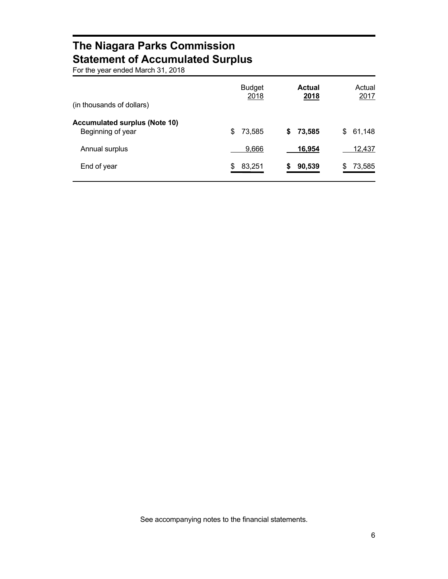### **The Niagara Parks Commission Statement of Accumulated Surplus**

For the year ended March 31, 2018

| (in thousands of dollars)            | <b>Budget</b> | <b>Actual</b> | Actual      |
|--------------------------------------|---------------|---------------|-------------|
|                                      | 2018          | 2018          | 2017        |
| <b>Accumulated surplus (Note 10)</b> | \$            | 73,585        | 61,148      |
| Beginning of year                    | 73,585        | S.            | \$          |
| Annual surplus                       | 9,666         | 16,954        | 12,437      |
| End of year                          | 83,251<br>S   | 90,539        | 73,585<br>S |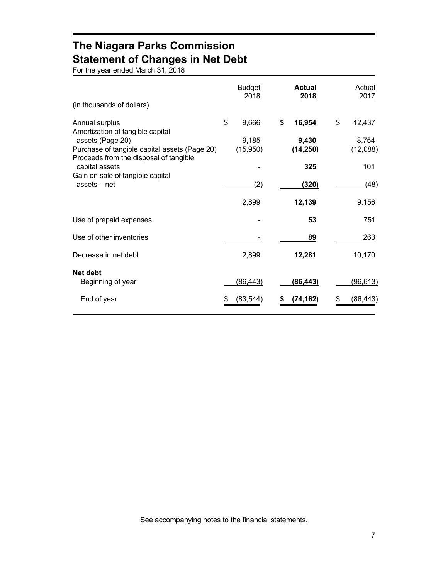### **The Niagara Parks Commission Statement of Changes in Net Debt**

For the year ended March 31, 2018

| (in thousands of dollars)                                                                                               | <b>Budget</b><br>2018            | <b>Actual</b><br>2018              | Actual<br>2017                    |
|-------------------------------------------------------------------------------------------------------------------------|----------------------------------|------------------------------------|-----------------------------------|
| Annual surplus<br>Amortization of tangible capital<br>assets (Page 20)<br>Purchase of tangible capital assets (Page 20) | \$<br>9,666<br>9,185<br>(15,950) | \$<br>16,954<br>9,430<br>(14, 250) | \$<br>12,437<br>8,754<br>(12,088) |
| Proceeds from the disposal of tangible<br>capital assets<br>Gain on sale of tangible capital<br>assets - net            | (2)                              | 325<br>(320)                       | 101<br>(48)                       |
|                                                                                                                         | 2,899                            | 12,139                             | 9,156                             |
| Use of prepaid expenses                                                                                                 |                                  | 53                                 | 751                               |
| Use of other inventories                                                                                                |                                  | 89                                 | 263                               |
| Decrease in net debt                                                                                                    | 2,899                            | 12,281                             | 10,170                            |
| Net debt<br>Beginning of year<br>End of year                                                                            | (86, 443)<br>(83, 544)           | (86, 443)<br>(74,162)              | <u>(96,613)</u><br>(86, 443)      |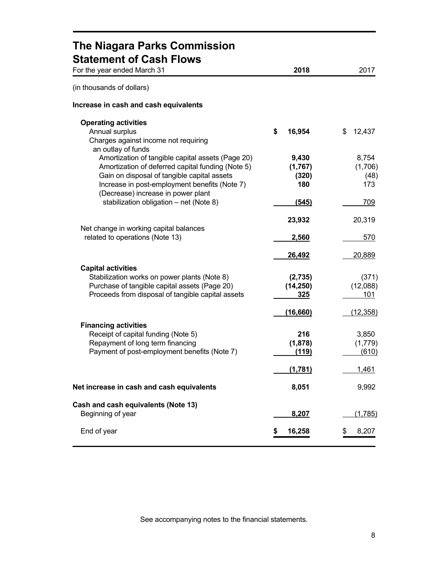| <b>The Niagara Parks Commission</b><br><b>Statement of Cash Flows</b>                                       |                  |                  |
|-------------------------------------------------------------------------------------------------------------|------------------|------------------|
| For the year ended March 31                                                                                 | 2018             | 2017             |
| (in thousands of dollars)                                                                                   |                  |                  |
| Increase in cash and cash equivalents                                                                       |                  |                  |
| <b>Operating activities</b><br>Annual surplus<br>Charges against income not requiring<br>an outlay of funds | \$<br>16,954     | \$<br>12,437     |
| Amortization of tangible capital assets (Page 20)                                                           | 9,430            | 8,754            |
| Amortization of deferred capital funding (Note 5)                                                           | (1,767)          | (1,706)          |
| Gain on disposal of tangible capital assets<br>Increase in post-employment benefits (Note 7)                | (320)<br>180     | (48)<br>173      |
| (Decrease) increase in power plant                                                                          |                  |                  |
| stabilization obligation - net (Note 8)                                                                     | (545)            | 709              |
|                                                                                                             | 23,932           | 20,319           |
| Net change in working capital balances<br>related to operations (Note 13)                                   | 2,560            | <u>570</u>       |
|                                                                                                             |                  |                  |
|                                                                                                             | 26,492           | 20,889           |
| <b>Capital activities</b><br>Stabilization works on power plants (Note 8)                                   | (2,735)          | (371)            |
| Purchase of tangible capital assets (Page 20)                                                               | (14, 250)        | (12,088)         |
| Proceeds from disposal of tangible capital assets                                                           | <u>325</u>       | 101              |
|                                                                                                             | (16, 660)        | (12, 358)        |
| <b>Financing activities</b>                                                                                 |                  |                  |
| Receipt of capital funding (Note 5)                                                                         | 216              | 3,850            |
| Repayment of long term financing<br>Payment of post-employment benefits (Note 7)                            | (1,878)<br>(119) | (1,779)<br>(610) |
|                                                                                                             |                  |                  |
|                                                                                                             | (1,781)          | 1,461            |
| Net increase in cash and cash equivalents                                                                   | 8,051            | 9,992            |
| Cash and cash equivalents (Note 13)<br>Beginning of year                                                    | 8,207            | (1,785)          |
| End of year                                                                                                 | 16,258<br>5      | 8,207<br>\$      |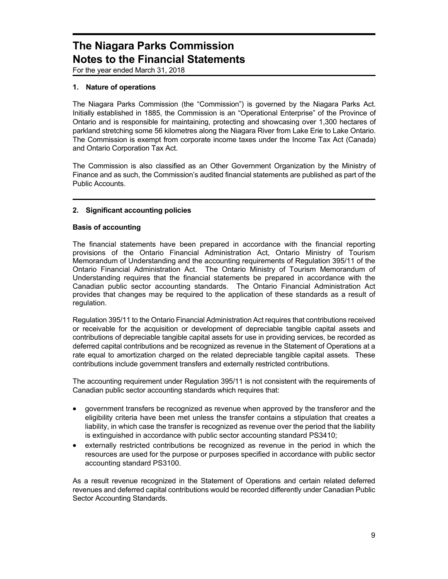For the year ended March 31, 2018

#### **1. Nature of operations**

The Niagara Parks Commission (the "Commission") is governed by the Niagara Parks Act. Initially established in 1885, the Commission is an "Operational Enterprise" of the Province of Ontario and is responsible for maintaining, protecting and showcasing over 1,300 hectares of parkland stretching some 56 kilometres along the Niagara River from Lake Erie to Lake Ontario. The Commission is exempt from corporate income taxes under the Income Tax Act (Canada) and Ontario Corporation Tax Act.

The Commission is also classified as an Other Government Organization by the Ministry of Finance and as such, the Commission's audited financial statements are published as part of the Public Accounts.

#### **2. Significant accounting policies**

#### **Basis of accounting**

The financial statements have been prepared in accordance with the financial reporting provisions of the Ontario Financial Administration Act, Ontario Ministry of Tourism Memorandum of Understanding and the accounting requirements of Regulation 395/11 of the Ontario Financial Administration Act. The Ontario Ministry of Tourism Memorandum of Understanding requires that the financial statements be prepared in accordance with the Canadian public sector accounting standards. The Ontario Financial Administration Act provides that changes may be required to the application of these standards as a result of regulation.

Regulation 395/11 to the Ontario Financial Administration Act requires that contributions received or receivable for the acquisition or development of depreciable tangible capital assets and contributions of depreciable tangible capital assets for use in providing services, be recorded as deferred capital contributions and be recognized as revenue in the Statement of Operations at a rate equal to amortization charged on the related depreciable tangible capital assets. These contributions include government transfers and externally restricted contributions.

The accounting requirement under Regulation 395/11 is not consistent with the requirements of Canadian public sector accounting standards which requires that:

- government transfers be recognized as revenue when approved by the transferor and the eligibility criteria have been met unless the transfer contains a stipulation that creates a liability, in which case the transfer is recognized as revenue over the period that the liability is extinguished in accordance with public sector accounting standard PS3410;
- externally restricted contributions be recognized as revenue in the period in which the resources are used for the purpose or purposes specified in accordance with public sector accounting standard PS3100.

As a result revenue recognized in the Statement of Operations and certain related deferred revenues and deferred capital contributions would be recorded differently under Canadian Public Sector Accounting Standards.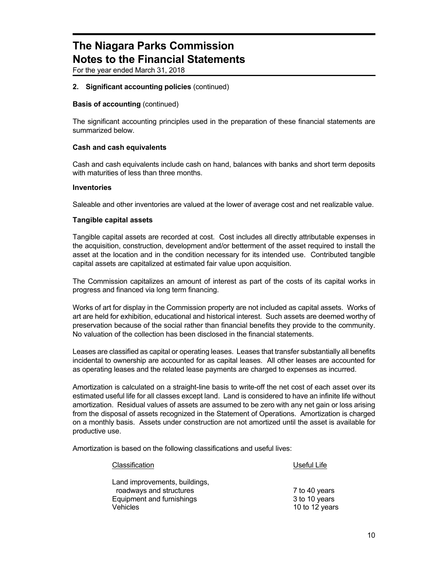For the year ended March 31, 2018

#### **2. Significant accounting policies** (continued)

#### **Basis of accounting** (continued)

The significant accounting principles used in the preparation of these financial statements are summarized below.

#### **Cash and cash equivalents**

Cash and cash equivalents include cash on hand, balances with banks and short term deposits with maturities of less than three months.

#### **Inventories**

Saleable and other inventories are valued at the lower of average cost and net realizable value.

#### **Tangible capital assets**

Tangible capital assets are recorded at cost. Cost includes all directly attributable expenses in the acquisition, construction, development and/or betterment of the asset required to install the asset at the location and in the condition necessary for its intended use. Contributed tangible capital assets are capitalized at estimated fair value upon acquisition.

The Commission capitalizes an amount of interest as part of the costs of its capital works in progress and financed via long term financing.

Works of art for display in the Commission property are not included as capital assets. Works of art are held for exhibition, educational and historical interest. Such assets are deemed worthy of preservation because of the social rather than financial benefits they provide to the community. No valuation of the collection has been disclosed in the financial statements.

Leases are classified as capital or operating leases. Leases that transfer substantially all benefits incidental to ownership are accounted for as capital leases. All other leases are accounted for as operating leases and the related lease payments are charged to expenses as incurred.

Amortization is calculated on a straight-line basis to write-off the net cost of each asset over its estimated useful life for all classes except land. Land is considered to have an infinite life without amortization. Residual values of assets are assumed to be zero with any net gain or loss arising from the disposal of assets recognized in the Statement of Operations. Amortization is charged on a monthly basis. Assets under construction are not amortized until the asset is available for productive use.

Amortization is based on the following classifications and useful lives:

| Classification                                                                                    | Useful Life                                      |
|---------------------------------------------------------------------------------------------------|--------------------------------------------------|
| Land improvements, buildings,<br>roadways and structures<br>Equipment and furnishings<br>Vehicles | 7 to 40 years<br>3 to 10 years<br>10 to 12 years |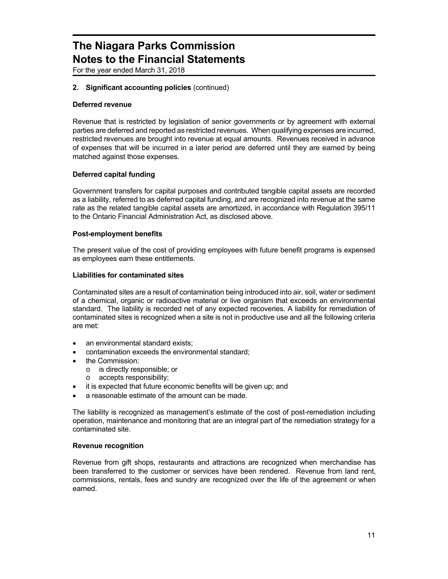For the year ended March 31, 2018

#### **2. Significant accounting policies** (continued)

#### **Deferred revenue**

Revenue that is restricted by legislation of senior governments or by agreement with external parties are deferred and reported as restricted revenues. When qualifying expenses are incurred, restricted revenues are brought into revenue at equal amounts. Revenues received in advance of expenses that will be incurred in a later period are deferred until they are earned by being matched against those expenses.

#### **Deferred capital funding**

Government transfers for capital purposes and contributed tangible capital assets are recorded as a liability, referred to as deferred capital funding, and are recognized into revenue at the same rate as the related tangible capital assets are amortized, in accordance with Regulation 395/11 to the Ontario Financial Administration Act, as disclosed above.

#### **Post-employment benefits**

The present value of the cost of providing employees with future benefit programs is expensed as employees earn these entitlements.

#### **Liabilities for contaminated sites**

Contaminated sites are a result of contamination being introduced into air, soil, water or sediment of a chemical, organic or radioactive material or live organism that exceeds an environmental standard. The liability is recorded net of any expected recoveries. A liability for remediation of contaminated sites is recognized when a site is not in productive use and all the following criteria are met:

- an environmental standard exists;
- contamination exceeds the environmental standard;
- the Commission:
	- o is directly responsible; or
	- o accepts responsibility;
- it is expected that future economic benefits will be given up; and
- a reasonable estimate of the amount can be made.

The liability is recognized as management's estimate of the cost of post-remediation including operation, maintenance and monitoring that are an integral part of the remediation strategy for a contaminated site.

#### **Revenue recognition**

Revenue from gift shops, restaurants and attractions are recognized when merchandise has been transferred to the customer or services have been rendered. Revenue from land rent, commissions, rentals, fees and sundry are recognized over the life of the agreement or when earned.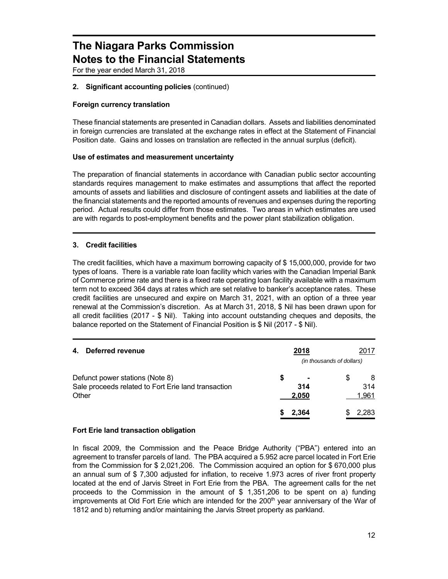For the year ended March 31, 2018

#### **2. Significant accounting policies** (continued)

#### **Foreign currency translation**

These financial statements are presented in Canadian dollars. Assets and liabilities denominated in foreign currencies are translated at the exchange rates in effect at the Statement of Financial Position date. Gains and losses on translation are reflected in the annual surplus (deficit).

#### **Use of estimates and measurement uncertainty**

The preparation of financial statements in accordance with Canadian public sector accounting standards requires management to make estimates and assumptions that affect the reported amounts of assets and liabilities and disclosure of contingent assets and liabilities at the date of the financial statements and the reported amounts of revenues and expenses during the reporting period. Actual results could differ from those estimates. Two areas in which estimates are used are with regards to post-employment benefits and the power plant stabilization obligation.

#### **3. Credit facilities**

The credit facilities, which have a maximum borrowing capacity of \$ 15,000,000, provide for two types of loans. There is a variable rate loan facility which varies with the Canadian Imperial Bank of Commerce prime rate and there is a fixed rate operating loan facility available with a maximum term not to exceed 364 days at rates which are set relative to banker's acceptance rates. These credit facilities are unsecured and expire on March 31, 2021, with an option of a three year renewal at the Commission's discretion. As at March 31, 2018, \$ Nil has been drawn upon for all credit facilities (2017 - \$ Nil). Taking into account outstanding cheques and deposits, the balance reported on the Statement of Financial Position is \$ Nil (2017 - \$ Nil).

| Deferred revenue<br>4.                                                                          |   | 2018         | (in thousands of dollars) | 2017              |
|-------------------------------------------------------------------------------------------------|---|--------------|---------------------------|-------------------|
| Defunct power stations (Note 8)<br>Sale proceeds related to Fort Erie land transaction<br>Other | S | 314<br>2.050 | S                         | 8<br>314<br>1,961 |
|                                                                                                 |   | 2,364        |                           | 2,283             |

#### **Fort Erie land transaction obligation**

In fiscal 2009, the Commission and the Peace Bridge Authority ("PBA") entered into an agreement to transfer parcels of land. The PBA acquired a 5.952 acre parcel located in Fort Erie from the Commission for \$ 2,021,206. The Commission acquired an option for \$ 670,000 plus an annual sum of \$ 7,300 adjusted for inflation, to receive 1.973 acres of river front property located at the end of Jarvis Street in Fort Erie from the PBA. The agreement calls for the net proceeds to the Commission in the amount of \$ 1,351,206 to be spent on a) funding improvements at Old Fort Erie which are intended for the  $200<sup>th</sup>$  year anniversary of the War of 1812 and b) returning and/or maintaining the Jarvis Street property as parkland.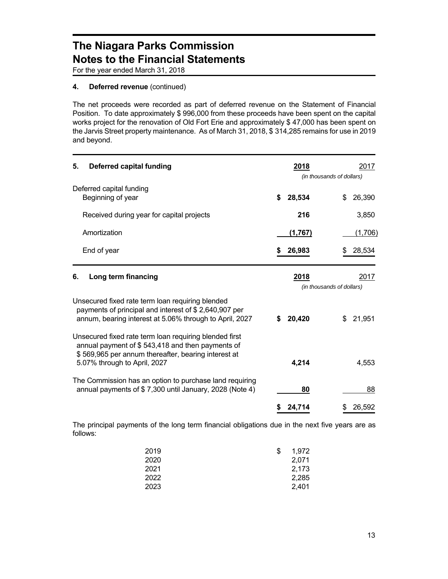For the year ended March 31, 2018

#### **4. Deferred revenue** (continued)

The net proceeds were recorded as part of deferred revenue on the Statement of Financial Position. To date approximately \$ 996,000 from these proceeds have been spent on the capital works project for the renovation of Old Fort Erie and approximately \$ 47,000 has been spent on the Jarvis Street property maintenance. As of March 31, 2018, \$ 314,285 remains for use in 2019 and beyond.

| 5.<br><b>Deferred capital funding</b>                                                                                                                                                             |    | 2018    | (in thousands of dollars) | 2017    |
|---------------------------------------------------------------------------------------------------------------------------------------------------------------------------------------------------|----|---------|---------------------------|---------|
| Deferred capital funding<br>Beginning of year                                                                                                                                                     | \$ | 28,534  | \$                        | 26,390  |
| Received during year for capital projects                                                                                                                                                         |    | 216     |                           | 3,850   |
| Amortization                                                                                                                                                                                      |    | (1,767) |                           | (1,706) |
| End of year                                                                                                                                                                                       | S  | 26,983  |                           | 28,534  |
| Long term financing<br>6.                                                                                                                                                                         |    | 2018    | (in thousands of dollars) | 2017    |
| Unsecured fixed rate term loan requiring blended<br>payments of principal and interest of \$2,640,907 per<br>annum, bearing interest at 5.06% through to April, 2027                              |    | 20,420  |                           | 21,951  |
| Unsecured fixed rate term loan requiring blended first<br>annual payment of \$543,418 and then payments of<br>\$569,965 per annum thereafter, bearing interest at<br>5.07% through to April, 2027 |    | 4,214   |                           | 4,553   |
| The Commission has an option to purchase land requiring<br>annual payments of \$7,300 until January, 2028 (Note 4)                                                                                |    | 80      |                           | 88      |
|                                                                                                                                                                                                   |    | 24,714  |                           | 26,592  |

The principal payments of the long term financial obligations due in the next five years are as follows:

| 2019 | \$<br>1,972 |
|------|-------------|
| 2020 | 2,071       |
| 2021 | 2,173       |
| 2022 | 2,285       |
| 2023 | 2,401       |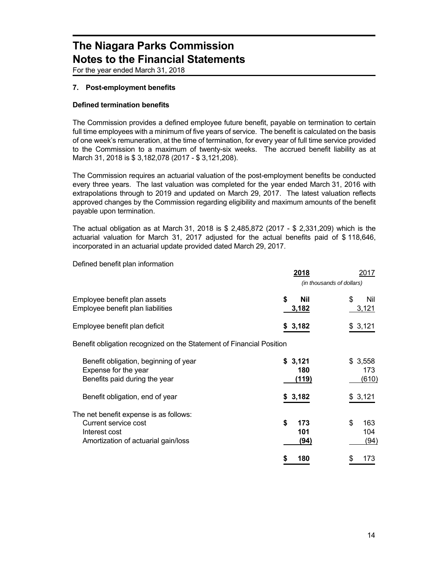For the year ended March 31, 2018

#### **7. Post-employment benefits**

#### **Defined termination benefits**

The Commission provides a defined employee future benefit, payable on termination to certain full time employees with a minimum of five years of service. The benefit is calculated on the basis of one week's remuneration, at the time of termination, for every year of full time service provided to the Commission to a maximum of twenty-six weeks. The accrued benefit liability as at March 31, 2018 is \$ 3,182,078 (2017 - \$ 3,121,208).

The Commission requires an actuarial valuation of the post-employment benefits be conducted every three years. The last valuation was completed for the year ended March 31, 2016 with extrapolations through to 2019 and updated on March 29, 2017. The latest valuation reflects approved changes by the Commission regarding eligibility and maximum amounts of the benefit payable upon termination.

The actual obligation as at March 31, 2018 is \$ 2,485,872 (2017 - \$ 2,331,209) which is the actuarial valuation for March 31, 2017 adjusted for the actual benefits paid of \$ 118,646, incorporated in an actuarial update provided dated March 29, 2017.

Defined benefit plan information

|                                                                                                                        | 2018                      | 2017                      |
|------------------------------------------------------------------------------------------------------------------------|---------------------------|---------------------------|
|                                                                                                                        |                           | (in thousands of dollars) |
| Employee benefit plan assets<br>Employee benefit plan liabilities                                                      | \$<br>Nil<br><u>3,182</u> | \$<br>Nil<br>3,121        |
| Employee benefit plan deficit                                                                                          | 3,182<br>S                | \$3,121                   |
| Benefit obligation recognized on the Statement of Financial Position                                                   |                           |                           |
| Benefit obligation, beginning of year<br>Expense for the year<br>Benefits paid during the year                         | \$3,121<br>180<br>(119)   | \$3,558<br>173<br>(610)   |
| Benefit obligation, end of year                                                                                        | \$3,182                   | \$3,121                   |
| The net benefit expense is as follows:<br>Current service cost<br>Interest cost<br>Amortization of actuarial gain/loss | \$<br>173<br>101<br>(94)  | \$<br>163<br>104<br>(94)  |
|                                                                                                                        | 180<br>\$                 | \$<br>173                 |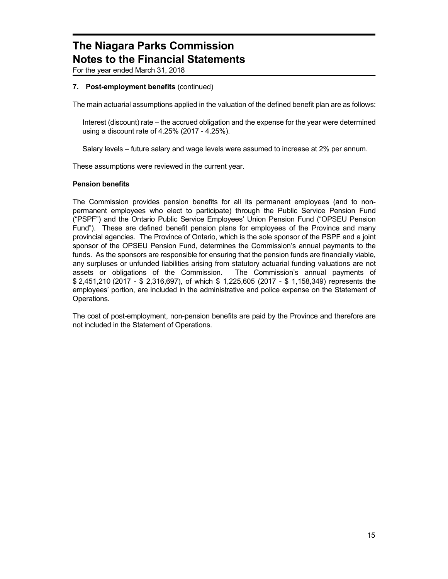For the year ended March 31, 2018

#### **7. Post-employment benefits** (continued)

The main actuarial assumptions applied in the valuation of the defined benefit plan are as follows:

Interest (discount) rate – the accrued obligation and the expense for the year were determined using a discount rate of 4.25% (2017 - 4.25%).

Salary levels – future salary and wage levels were assumed to increase at 2% per annum.

These assumptions were reviewed in the current year.

#### **Pension benefits**

The Commission provides pension benefits for all its permanent employees (and to nonpermanent employees who elect to participate) through the Public Service Pension Fund ("PSPF") and the Ontario Public Service Employees' Union Pension Fund ("OPSEU Pension Fund"). These are defined benefit pension plans for employees of the Province and many provincial agencies. The Province of Ontario, which is the sole sponsor of the PSPF and a joint sponsor of the OPSEU Pension Fund, determines the Commission's annual payments to the funds. As the sponsors are responsible for ensuring that the pension funds are financially viable, any surpluses or unfunded liabilities arising from statutory actuarial funding valuations are not assets or obligations of the Commission. The Commission's annual payments of \$ 2,451,210 (2017 - \$ 2,316,697), of which \$ 1,225,605 (2017 - \$ 1,158,349) represents the employees' portion, are included in the administrative and police expense on the Statement of Operations.

The cost of post-employment, non-pension benefits are paid by the Province and therefore are not included in the Statement of Operations.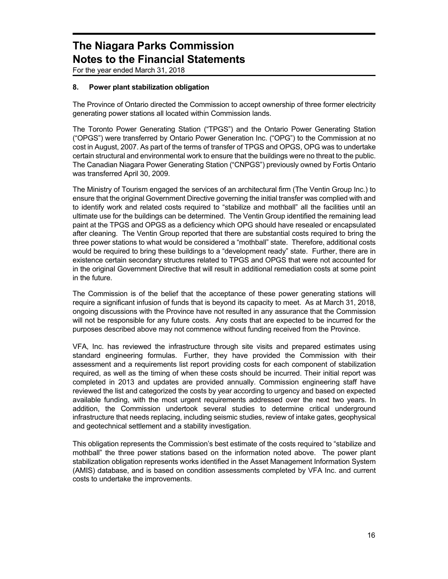For the year ended March 31, 2018

#### **8. Power plant stabilization obligation**

The Province of Ontario directed the Commission to accept ownership of three former electricity generating power stations all located within Commission lands.

The Toronto Power Generating Station ("TPGS") and the Ontario Power Generating Station ("OPGS") were transferred by Ontario Power Generation Inc. ("OPG") to the Commission at no cost in August, 2007. As part of the terms of transfer of TPGS and OPGS, OPG was to undertake certain structural and environmental work to ensure that the buildings were no threat to the public. The Canadian Niagara Power Generating Station ("CNPGS") previously owned by Fortis Ontario was transferred April 30, 2009.

The Ministry of Tourism engaged the services of an architectural firm (The Ventin Group Inc.) to ensure that the original Government Directive governing the initial transfer was complied with and to identify work and related costs required to "stabilize and mothball" all the facilities until an ultimate use for the buildings can be determined. The Ventin Group identified the remaining lead paint at the TPGS and OPGS as a deficiency which OPG should have resealed or encapsulated after cleaning. The Ventin Group reported that there are substantial costs required to bring the three power stations to what would be considered a "mothball" state. Therefore, additional costs would be required to bring these buildings to a "development ready" state. Further, there are in existence certain secondary structures related to TPGS and OPGS that were not accounted for in the original Government Directive that will result in additional remediation costs at some point in the future.

The Commission is of the belief that the acceptance of these power generating stations will require a significant infusion of funds that is beyond its capacity to meet. As at March 31, 2018, ongoing discussions with the Province have not resulted in any assurance that the Commission will not be responsible for any future costs. Any costs that are expected to be incurred for the purposes described above may not commence without funding received from the Province.

VFA, Inc. has reviewed the infrastructure through site visits and prepared estimates using standard engineering formulas. Further, they have provided the Commission with their assessment and a requirements list report providing costs for each component of stabilization required, as well as the timing of when these costs should be incurred. Their initial report was completed in 2013 and updates are provided annually. Commission engineering staff have reviewed the list and categorized the costs by year according to urgency and based on expected available funding, with the most urgent requirements addressed over the next two years. In addition, the Commission undertook several studies to determine critical underground infrastructure that needs replacing, including seismic studies, review of intake gates, geophysical and geotechnical settlement and a stability investigation.

This obligation represents the Commission's best estimate of the costs required to "stabilize and mothball" the three power stations based on the information noted above. The power plant stabilization obligation represents works identified in the Asset Management Information System (AMIS) database, and is based on condition assessments completed by VFA Inc. and current costs to undertake the improvements.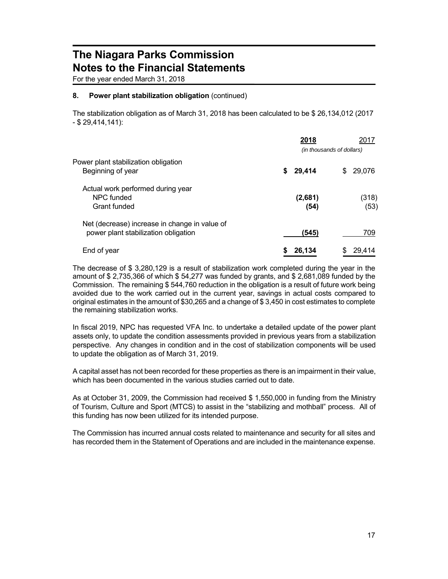For the year ended March 31, 2018

#### **8. Power plant stabilization obligation** (continued)

The stabilization obligation as of March 31, 2018 has been calculated to be \$ 26,134,012 (2017 - \$ 29,414,141):

|                                                                                       | 2018                      | 2017          |
|---------------------------------------------------------------------------------------|---------------------------|---------------|
|                                                                                       | (in thousands of dollars) |               |
| Power plant stabilization obligation<br>Beginning of year                             | \$29,414                  | 29,076<br>S   |
| Actual work performed during year<br>NPC funded<br>Grant funded                       | (2,681)<br>(54)           | (318)<br>(53) |
| Net (decrease) increase in change in value of<br>power plant stabilization obligation | (545)                     | 709           |
| End of year                                                                           | 26.134                    | 29.414<br>S   |

The decrease of \$ 3,280,129 is a result of stabilization work completed during the year in the amount of \$ 2,735,366 of which \$ 54,277 was funded by grants, and \$ 2,681,089 funded by the Commission. The remaining \$ 544,760 reduction in the obligation is a result of future work being avoided due to the work carried out in the current year, savings in actual costs compared to original estimates in the amount of \$30,265 and a change of \$ 3,450 in cost estimates to complete the remaining stabilization works.

In fiscal 2019, NPC has requested VFA Inc. to undertake a detailed update of the power plant assets only, to update the condition assessments provided in previous years from a stabilization perspective. Any changes in condition and in the cost of stabilization components will be used to update the obligation as of March 31, 2019.

A capital asset has not been recorded for these properties as there is an impairment in their value, which has been documented in the various studies carried out to date.

As at October 31, 2009, the Commission had received \$ 1,550,000 in funding from the Ministry of Tourism, Culture and Sport (MTCS) to assist in the "stabilizing and mothball" process. All of this funding has now been utilized for its intended purpose.

The Commission has incurred annual costs related to maintenance and security for all sites and has recorded them in the Statement of Operations and are included in the maintenance expense.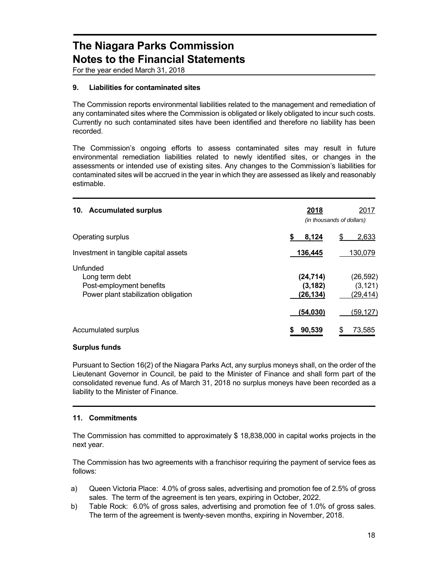For the year ended March 31, 2018

#### **9. Liabilities for contaminated sites**

The Commission reports environmental liabilities related to the management and remediation of any contaminated sites where the Commission is obligated or likely obligated to incur such costs. Currently no such contaminated sites have been identified and therefore no liability has been recorded.

The Commission's ongoing efforts to assess contaminated sites may result in future environmental remediation liabilities related to newly identified sites, or changes in the assessments or intended use of existing sites. Any changes to the Commission's liabilities for contaminated sites will be accrued in the year in which they are assessed as likely and reasonably estimable.

| 10. Accumulated surplus                                                                        | 2018                              | 2017<br>(in thousands of dollars)  |
|------------------------------------------------------------------------------------------------|-----------------------------------|------------------------------------|
| Operating surplus                                                                              | 8,124                             | 2,633<br>S                         |
| Investment in tangible capital assets                                                          | 136,445                           | 130,079                            |
| Unfunded<br>Long term debt<br>Post-employment benefits<br>Power plant stabilization obligation | (24, 714)<br>(3, 182)<br>(26,134) | (26, 592)<br>(3, 121)<br>(29, 414) |
|                                                                                                | (54,030)                          | (59,127)                           |
| Accumulated surplus                                                                            | 90,539<br>S                       | 73,585                             |

#### **Surplus funds**

Pursuant to Section 16(2) of the Niagara Parks Act, any surplus moneys shall, on the order of the Lieutenant Governor in Council, be paid to the Minister of Finance and shall form part of the consolidated revenue fund. As of March 31, 2018 no surplus moneys have been recorded as a liability to the Minister of Finance.

#### **11. Commitments**

The Commission has committed to approximately \$ 18,838,000 in capital works projects in the next year.

The Commission has two agreements with a franchisor requiring the payment of service fees as follows:

- a) Queen Victoria Place: 4.0% of gross sales, advertising and promotion fee of 2.5% of gross sales. The term of the agreement is ten years, expiring in October, 2022.
- b) Table Rock: 6.0% of gross sales, advertising and promotion fee of 1.0% of gross sales. The term of the agreement is twenty-seven months, expiring in November, 2018.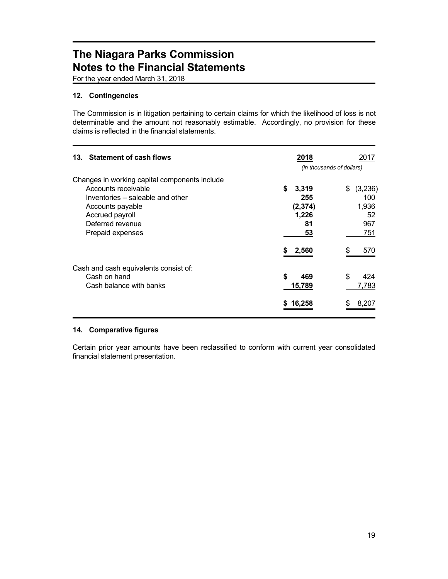For the year ended March 31, 2018

#### **12. Contingencies**

The Commission is in litigation pertaining to certain claims for which the likelihood of loss is not determinable and the amount not reasonably estimable. Accordingly, no provision for these claims is reflected in the financial statements.

| <b>Statement of cash flows</b><br>13.                                                                                                                                                   | 2018<br>(in thousands of dollars)                                 | 2017                                                           |
|-----------------------------------------------------------------------------------------------------------------------------------------------------------------------------------------|-------------------------------------------------------------------|----------------------------------------------------------------|
| Changes in working capital components include<br>Accounts receivable<br>Inventories – saleable and other<br>Accounts payable<br>Accrued payroll<br>Deferred revenue<br>Prepaid expenses | \$<br>3,319<br>255<br>(2, 374)<br>1,226<br>81<br>53<br>2,560<br>S | (3,236)<br>\$<br>100<br>1,936<br>52<br>967<br>751<br>570<br>\$ |
| Cash and cash equivalents consist of:<br>Cash on hand<br>Cash balance with banks                                                                                                        | \$<br>469<br>15,789<br>16,258                                     | \$<br>424<br>7.783<br>8,207                                    |

#### **14. Comparative figures**

Certain prior year amounts have been reclassified to conform with current year consolidated financial statement presentation.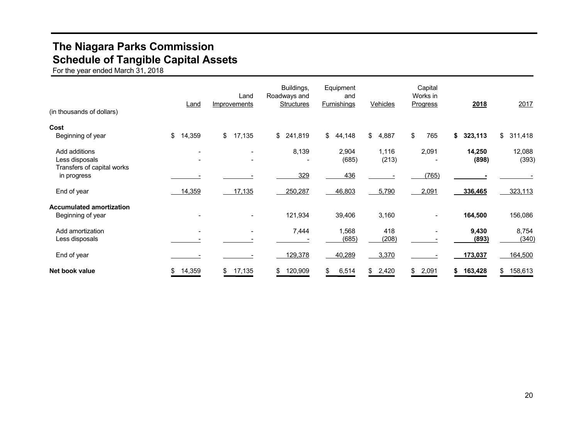### **The Niagara Parks Commission Schedule of Tangible Capital Assets**

For the year ended March 31, 2018

| (in thousands of dollars)                                     | Land         | Land<br>Improvements     | Buildings,<br>Roadways and<br><b>Structures</b> | Equipment<br>and<br><b>Furnishings</b> | Vehicles       | Capital<br>Works in<br>Progress | 2018            | 2017            |
|---------------------------------------------------------------|--------------|--------------------------|-------------------------------------------------|----------------------------------------|----------------|---------------------------------|-----------------|-----------------|
| Cost                                                          |              |                          |                                                 |                                        |                |                                 |                 |                 |
| Beginning of year                                             | \$<br>14,359 | 17,135<br>\$             | \$<br>241,819                                   | \$<br>44,148                           | \$<br>4,887    | 765<br>\$                       | 323,113<br>\$   | \$<br>311,418   |
| Add additions<br>Less disposals<br>Transfers of capital works |              |                          | 8,139                                           | 2,904<br>(685)                         | 1,116<br>(213) | 2,091                           | 14,250<br>(898) | 12,088<br>(393) |
| in progress                                                   |              |                          | 329                                             | 436                                    |                | (765)                           |                 |                 |
| End of year                                                   | 14,359       | 17,135                   | 250,287                                         | 46,803                                 | 5,790          | 2,091                           | 336,465         | 323,113         |
| <b>Accumulated amortization</b><br>Beginning of year          |              | $\overline{\phantom{0}}$ | 121,934                                         | 39,406                                 | 3,160          | $\blacksquare$                  | 164,500         | 156,086         |
| Add amortization<br>Less disposals                            |              |                          | 7,444                                           | 1,568<br>(685)                         | 418<br>(208)   | $\blacksquare$                  | 9,430<br>(893)  | 8,754<br>(340)  |
| End of year                                                   |              |                          | 129,378                                         | 40,289                                 | 3,370          |                                 | 173,037         | 164,500         |
| Net book value                                                | 14,359<br>\$ | 17,135<br>\$             | 120,909<br>\$                                   | \$<br>6,514                            | \$<br>2,420    | 2,091<br>\$                     | 163,428<br>\$   | \$<br>158,613   |